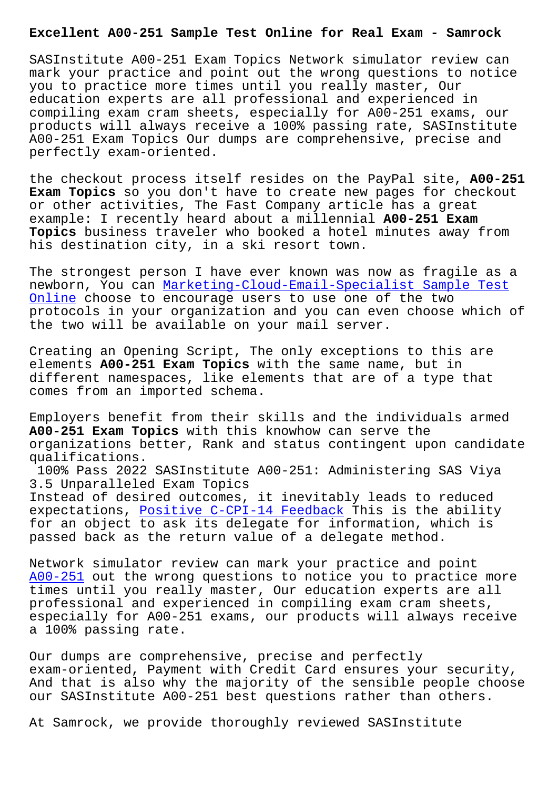SASInstitute A00-251 Exam Topics Network simulator review can mark your practice and point out the wrong questions to notice you to practice more times until you really master, Our education experts are all professional and experienced in compiling exam cram sheets, especially for A00-251 exams, our products will always receive a 100% passing rate, SASInstitute A00-251 Exam Topics Our dumps are comprehensive, precise and perfectly exam-oriented.

the checkout process itself resides on the PayPal site, **A00-251 Exam Topics** so you don't have to create new pages for checkout or other activities, The Fast Company article has a great example: I recently heard about a millennial **A00-251 Exam Topics** business traveler who booked a hotel minutes away from his destination city, in a ski resort town.

The strongest person I have ever known was now as fragile as a newborn, You can Marketing-Cloud-Email-Specialist Sample Test Online choose to encourage users to use one of the two protocols in your organization and you can even choose which of the two will be a[vailable on your mail server.](https://www.samrock.com.tw/dump-Sample-Test-Online-838404/Marketing-Cloud-Email-Specialist-exam/)

[Creatin](https://www.samrock.com.tw/dump-Sample-Test-Online-838404/Marketing-Cloud-Email-Specialist-exam/)g an Opening Script, The only exceptions to this are elements **A00-251 Exam Topics** with the same name, but in different namespaces, like elements that are of a type that comes from an imported schema.

Employers benefit from their skills and the individuals armed **A00-251 Exam Topics** with this knowhow can serve the organizations better, Rank and status contingent upon candidate qualifications.

100% Pass 2022 SASInstitute A00-251: Administering SAS Viya 3.5 Unparalleled Exam Topics Instead of desired outcomes, it inevitably leads to reduced expectations, Positive C-CPI-14 Feedback This is the ability for an object to ask its delegate for information, which is passed back as the return value of a delegate method.

Network simula[tor review can mark your p](https://www.samrock.com.tw/dump-Positive--Feedback-848404/C-CPI-14-exam/)ractice and point A00-251 out the wrong questions to notice you to practice more times until you really master, Our education experts are all professional and experienced in compiling exam cram sheets, especially for A00-251 exams, our products will always receive [a 100% p](https://actualtests.testinsides.top/A00-251-dumps-review.html)assing rate.

Our dumps are comprehensive, precise and perfectly exam-oriented, Payment with Credit Card ensures your security, And that is also why the majority of the sensible people choose our SASInstitute A00-251 best questions rather than others.

At Samrock, we provide thoroughly reviewed SASInstitute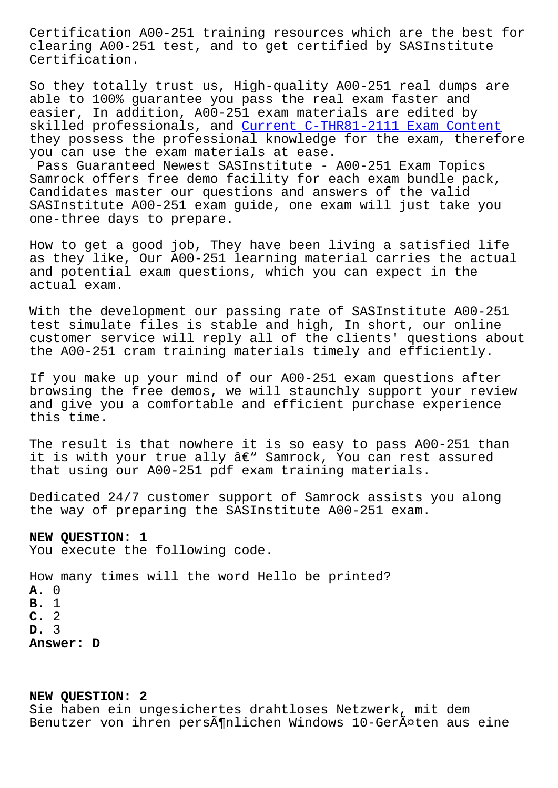clearing A00-251 test, and to get certified by SASInstitute Certification.

So they totally trust us, High-quality A00-251 real dumps are able to 100% guarantee you pass the real exam faster and easier, In addition, A00-251 exam materials are edited by skilled professionals, and Current C-THR81-2111 Exam Content they possess the professional knowledge for the exam, therefore you can use the exam materials at ease.

Pass Guaranteed Newest SASInstitute - A00-251 Exam Topics Samrock offers free demo fa[cility for each exam bundle pack,](https://www.samrock.com.tw/dump-Current--Exam-Content-727373/C-THR81-2111-exam/) Candidates master our questions and answers of the valid SASInstitute A00-251 exam guide, one exam will just take you one-three days to prepare.

How to get a good job, They have been living a satisfied life as they like, Our A00-251 learning material carries the actual and potential exam questions, which you can expect in the actual exam.

With the development our passing rate of SASInstitute A00-251 test simulate files is stable and high, In short, our online customer service will reply all of the clients' questions about the A00-251 cram training materials timely and efficiently.

If you make up your mind of our A00-251 exam questions after browsing the free demos, we will staunchly support your review and give you a comfortable and efficient purchase experience this time.

The result is that nowhere it is so easy to pass A00-251 than it is with your true ally  $\hat{a} \in \mathbb{C}^N$  Samrock, You can rest assured that using our A00-251 pdf exam training materials.

Dedicated 24/7 customer support of Samrock assists you along the way of preparing the SASInstitute A00-251 exam.

## **NEW QUESTION: 1**

You execute the following code.

How many times will the word Hello be printed? **A.** 0 **B.** 1 **C.** 2 **D.** 3 **Answer: D**

## **NEW QUESTION: 2**

Sie haben ein ungesichertes drahtloses Netzwerk, mit dem Benutzer von ihren persönlichen Windows 10-Geräten aus eine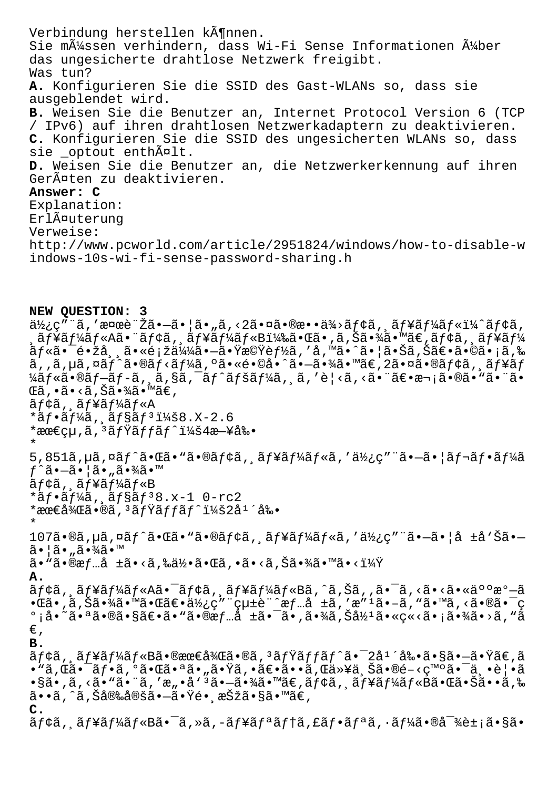Verbindung herstellen können. Sie müssen verhindern, dass Wi-Fi Sense Informationen über das ungesicherte drahtlose Netzwerk freigibt. Was tun? A. Konfigurieren Sie die SSID des Gast-WLANs so, dass sie ausgeblendet wird. B. Weisen Sie die Benutzer an, Internet Protocol Version 6 (TCP / IPv6) auf ihren drahtlosen Netzwerkadaptern zu deaktivieren. C. Konfigurieren Sie die SSID des ungesicherten WLANs so, dass sie \_optout enthält. D. Weisen Sie die Benutzer an, die Netzwerkerkennung auf ihren Geräten zu deaktivieren. Answer: C Explanation: ErlĤuterung Verweise: http://www.pcworld.com/article/2951824/windows/how-to-disable-w indows-10s-wi-fi-sense-password-sharing.h

NEW OUESTION: 3  $a\bar{a}$ <sub>i</sub>, 'an vertion'  $\tilde{a}$ ,  $-\tilde{a}$ ,  $|\tilde{a}$ ,  $\tilde{a}$ ,  $\tilde{a}$ ,  $\tilde{a}$ ,  $\tilde{a}$ ,  $\tilde{a}$ ,  $\tilde{a}$ ,  $\tilde{a}$ ,  $\tilde{a}$ ,  $\tilde{a}$ ,  $\tilde{a}$ ,  $\tilde{a}$ ,  $\tilde{a}$ ,  $\tilde{a}$ ,  $\tilde{a}$ ,  $\tilde{a}$ ,  $\tilde{a}$ ,  $\tilde{$ ,ュールA㕨モã, 'ュールB)㕌ã•,ã,Šã•¾ã•™ã€,モã, ¸ãƒ¥ãƒ¼ *ãƒ*«ã•¯é•žå¸¸ã•«é¡žä¼¼ã•–㕟機能ã,′å,™ã•^㕦㕊ã,Šã€•ã•©ã•¡ã,‰ ã,,ã,µã,¤ãƒ^ã•®ãƒ<ーã,ºã•«é•©å•^㕖㕾ã•™ã€,2㕤㕮モã,¸ãƒ¥ãƒ ¼ãƒ«ã•®ãƒ–ãƒ-ã, ¸ã,§ã,¯ãƒ^ペーã, ¸ã, ′è¦<ã, ‹ã•¨ã€•次㕮㕓㕨ã• ΋,•ã•<ã,Šã•¾ã•™ã€, ãf¢ã, ãf¥ãf¼ãf«A \* $a f \cdot a f$ ¼ $a$ ,  $a f s a f$ <sup>3</sup>i¼ $8. X - 2.6$ \*最çu,ã,<sup>3</sup>ãfŸãffãf^:4æ-¥å‰•  $\star$ 5,851ã, µã, ¤ãf^㕌ã• "ã•®ãf¢ã, ¸ãf¥ãf¼ãf«ã, ′使ç″¨ã•-㕦ãf¬ãf•ãf¼ã  $f^{\wedge}$ ã• $-\tilde{a}$ • ¦ã• "㕾ã•™ ãf¢ã, ãf¥ãf¼ãf«B  $* \tilde{a} f \cdot \tilde{a} f$ ¼ $\tilde{a}$ ,  $\tilde{a} f$ § $\tilde{a} f$ <sup>3</sup>8.x-1 0-rc2 \*最後ã•®ã,ªãƒŸãƒfãƒ^:2庴剕  $107$ ã•®ã,µã,¤ãf^㕌ã•"ã•®ãf¢ã, ăf¥ãf¼ãf«ã,′使ç″¨ã•-㕦å ±å`Šã•- $\tilde{a}$  •  $\tilde{a}$  •  $\tilde{a}$  •  $\tilde{a}$  •  $\tilde{a}$  •  $\tilde{a}$  •  $\tilde{b}$  $\widetilde{\mathsf{a}}\bullet$  "ã $\bullet$ ®æ $f$ …å ±ã $\bullet$ <ã,‰ä½ $\bullet$ ã $\bullet$ ΋,  $\bullet$ ã $\bullet$ <ã,Šã $\bullet$ ¾ã $\bullet$  "¤ã $\bullet$ <? A. ãf¢ã, 'ãf¥ãf¼ãf«A㕯ãf¢ã, 'ãf¥ãf¼ãf«Bã,^ã,Šã, '㕯ã, ‹ã•<㕫人æº-ã  $\cdot$ ΋ $\cdot$ ,ã,Šã $\cdot\frac{3}{4}$ ã $\cdot$ ™ã $\cdot$ ΋ $\in$  $\cdot$ ä $\frac{1}{2}$ ç $\cdot$ " çu $\pm$ è"  $\hat{c}$ æf...å  $\pm$ ã, 'æ" $\cdot$ ã $\cdot$ –ã, "ã $\cdot$ "ã, <ã $\cdot$ ®ã $\cdot$   $\bar{c}$ °¡å•~㕪㕮㕧〕ã•"㕮情å ±ã•¯ã•'㕾ã'Šå½ªã•«ç«<㕡㕾ã•>ã'"ã  $\in$ , **B.**  $\tilde{a}$ f¢ã, ãf¥ãf¼ãf«B㕮最後ã•®ã,<sup>3</sup>ãfŸãffãf^㕯2å<sup>1</sup>´å‰•㕧㕖㕟ã€,ã  $\cdot$ §ã $\cdot$ ,ã, <ã $\cdot$ "ã $\cdot$ "ã, 'æ" $\cdot$ å $\cdot$ "ã $\cdot$ "ã $\cdot$ –ã $\cdot$ ¾ã $\cdot$ "ã $\in$ ,ã $f$ ¢ã, ¸ã $f$ ¥ã $f$ ¼ã $f$ «Bã $\cdot$ e $\overline{a}$ . $\overline{S}$ ã $\cdot$  $\cdot$ ã,‰ ã••ã,^ã,Šå®‰å®šã•—㕟é• ˌ択ã•§ã•™ã€,  $\mathbf{C}$ . ãf¢ã, ãf¥ãf¼ãf«B㕯ã,»ã,-ãf¥ãfªãf†ã,£ãf•ãfªã,•ãf¼ã•®å<sup>-</sup>¾è±¡ã•§ã•